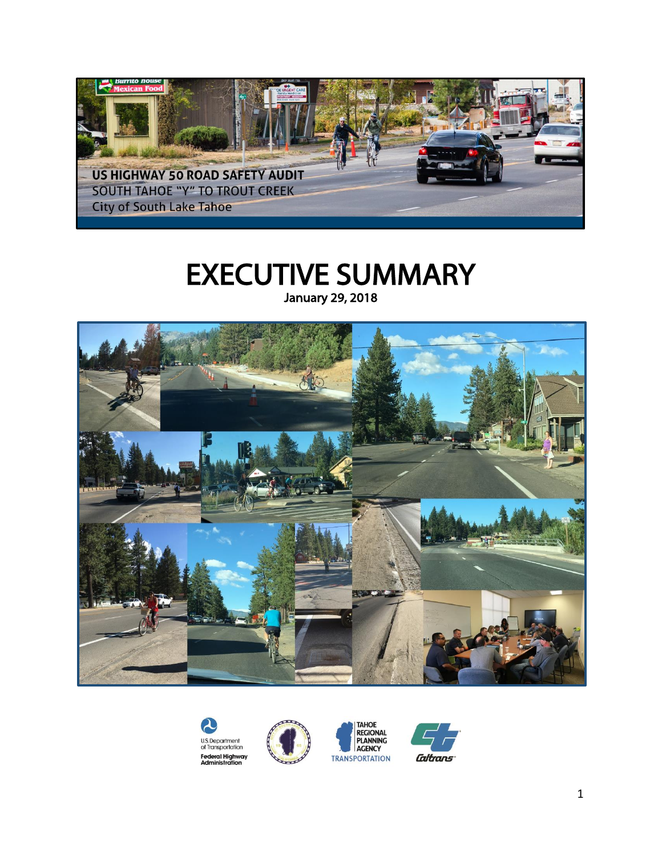

# EXECUTIVE SUMMARY January 29, 2018







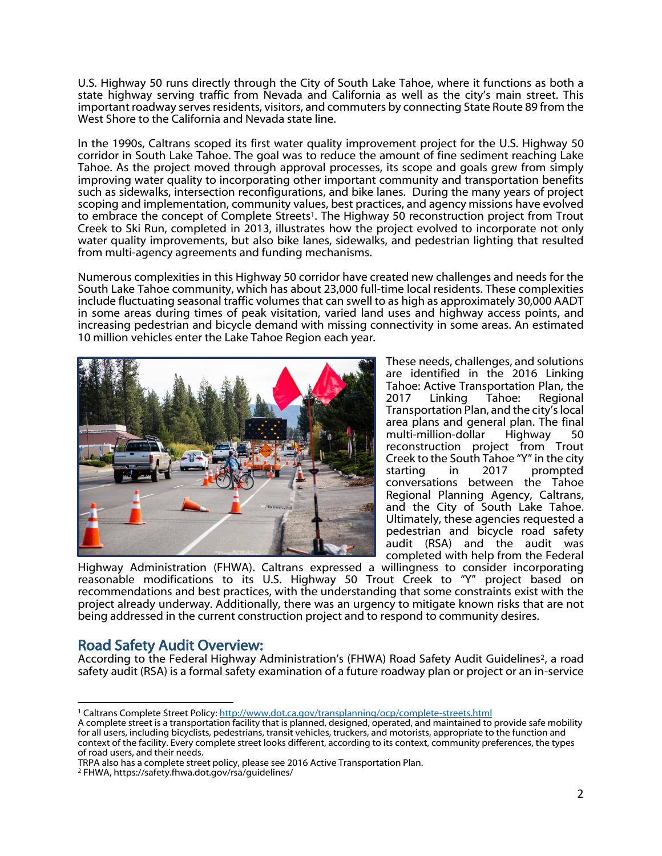U.S. Highway 50 runs directly through the City of South Lake Tahoe, where it functions as both a state highway serving traffic from Nevada and California as well as the city's main street. This important roadway serves residents, visitors, and commuters by connecting State Route 89 from the West Shore to the California and Nevada state line.

In the 1990s, Caltrans scoped its first water quality improvement project for the U.S. Highway 50 corridor in South Lake Tahoe. The goal was to reduce the amount of fine sediment reaching Lake Tahoe. As the project moved through approval processes, its scope and goals grew from simply improving water quality to incorporating other important community and transportation benefits such as sidewalks, intersection reconfigurations, and bike lanes. During the many years of project scoping and implementation, community values, best practices, and agency missions have evolved to embrace the concept of Complete Streets<sup>1</sup>. The Highway 50 reconstruction project from Trout Creek to Ski Run, completed in 2013, illustrates how the project evolved to incorporate not only water quality improvements, but also bike lanes, sidewalks, and pedestrian lighting that resulted from multi-agency agreements and funding mechanisms.

Numerous complexities in this Highway 50 corridor have created new challenges and needs for the South Lake Tahoe community, which has about 23,000 full-time local residents. These complexities include fluctuating seasonal traffic volumes that can swell to as high as approximately 30,000 AADT in some areas during times of peak visitation, varied land uses and highway access points, and increasing pedestrian and bicycle demand with missing connectivity in some areas. An estimated 10 million vehicles enter the Lake Tahoe Region each year.



These needs, challenges, and solutions are identified in the 2016 Linking Tahoe: Active Transportation Plan, the 2017 Linking Tahoe: Regional Transportation Plan, and the city's local area plans and general plan. The final multi-million-dollar Highway 50 reconstruction project from Trout Creek to the South Tahoe "Y" in the city starting in 2017 prompted conversations between the Tahoe Regional Planning Agency, Caltrans, and the City of South Lake Tahoe. Ultimately, these agencies requested a pedestrian and bicycle road safety audit (RSA) and the audit was completed with help from the Federal

Highway Administration (FHWA). Caltrans expressed a willingness to consider incorporating reasonable modifications to its U.S. Highway 50 Trout Creek to "Y" project based on recommendations and best practices, with the understanding that some constraints exist with the project already underway. Additionally, there was an urgency to mitigate known risks that are not being addressed in the current construction project and to respond to community desires.

## Road Safety Audit Overview:

According to the Federal Highway Administration's (FHWA) Road Safety Audit Guidelines<sup>2</sup>, a road safety audit (RSA) is a formal safety examination of a future roadway plan or project or an in-service

 $\overline{a}$ <sup>1</sup> Caltrans Complete Street Policy[: http://www.dot.ca.gov/transplanning/ocp/complete-streets.html](http://www.dot.ca.gov/transplanning/ocp/complete-streets.html)

A complete street is a transportation facility that is planned, designed, operated, and maintained to provide safe mobility for all users, including bicyclists, pedestrians, transit vehicles, truckers, and motorists, appropriate to the function and context of the facility. Every complete street looks different, according to its context, community preferences, the types of road users, and their needs.

TRPA also has a complete street policy, please see 2016 Active Transportation Plan.

<sup>2</sup> FHWA, https://safety.fhwa.dot.gov/rsa/guidelines/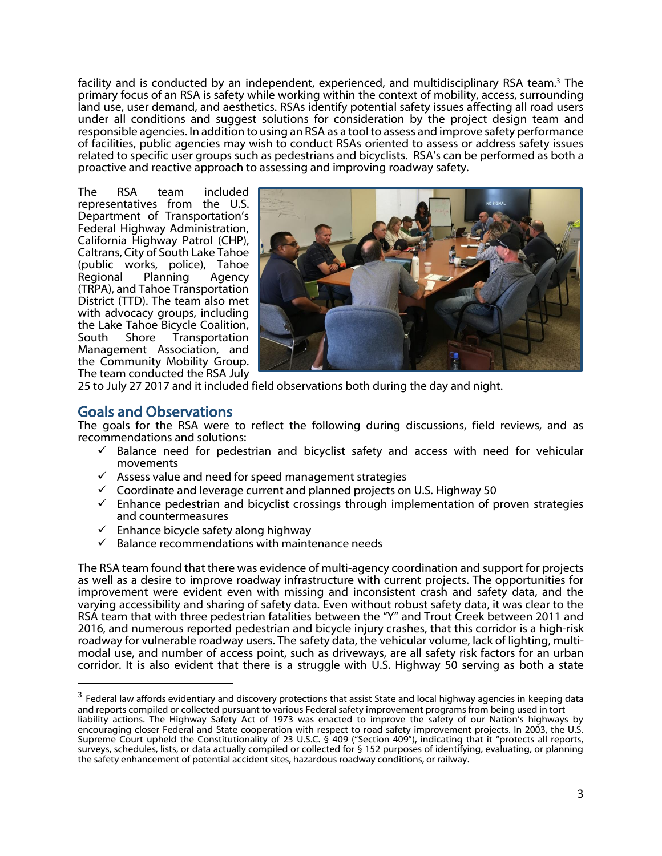facility and is conducted by an independent, experienced, and multidisciplinary RSA team.<sup>3</sup> The primary focus of an RSA is safety while working within the context of mobility, access, surrounding land use, user demand, and aesthetics. RSAs identify potential safety issues affecting all road users under all conditions and suggest solutions for consideration by the project design team and responsible agencies. In addition to using an RSA as a tool to assess and improve safety performance of facilities, public agencies may wish to conduct RSAs oriented to assess or address safety issues related to specific user groups such as pedestrians and bicyclists. RSA's can be performed as both a proactive and reactive approach to assessing and improving roadway safety.

The RSA team included representatives from the U.S. Department of Transportation's Federal Highway Administration, California Highway Patrol (CHP), Caltrans, City of South Lake Tahoe (public works, police), Tahoe Regional Planning Agency (TRPA), and Tahoe Transportation District (TTD). The team also met with advocacy groups, including the Lake Tahoe Bicycle Coalition,<br>South Shore Transportation Transportation Management Association, and the Community Mobility Group. The team conducted the RSA July



25 to July 27 2017 and it included field observations both during the day and night.

#### Goals and Observations

 $\overline{a}$ 

The goals for the RSA were to reflect the following during discussions, field reviews, and as recommendations and solutions:

- $\checkmark$  Balance need for pedestrian and bicyclist safety and access with need for vehicular movements
- ✓ Assess value and need for speed management strategies
- ✓ Coordinate and leverage current and planned projects on U.S. Highway 50
- $\checkmark$  Enhance pedestrian and bicyclist crossings through implementation of proven strategies and countermeasures
- $\checkmark$  Enhance bicycle safety along highway
- $\checkmark$  Balance recommendations with maintenance needs

The RSA team found that there was evidence of multi-agency coordination and support for projects as well as a desire to improve roadway infrastructure with current projects. The opportunities for improvement were evident even with missing and inconsistent crash and safety data, and the varying accessibility and sharing of safety data. Even without robust safety data, it was clear to the RSA team that with three pedestrian fatalities between the "Y" and Trout Creek between 2011 and 2016, and numerous reported pedestrian and bicycle injury crashes, that this corridor is a high-risk roadway for vulnerable roadway users. The safety data, the vehicular volume, lack of lighting, multimodal use, and number of access point, such as driveways, are all safety risk factors for an urban corridor. It is also evident that there is a struggle with U.S. Highway 50 serving as both a state

the safety enhancement of potential accident sites, hazardous roadway conditions, or railway.

 $^3$  Federal law affords evidentiary and discovery protections that assist State and local highway agencies in keeping data and reports compiled or collected pursuant to various Federal safety improvement programs from being used in tort liability actions. The Highway Safety Act of 1973 was enacted to improve the safety of our Nation's highways by encouraging closer Federal and State cooperation with respect to road safety improvement projects. In 2003, the U.S. Supreme Court upheld the Constitutionality of 23 U.S.C. § 409 ("Section 409"), indicating that it "protects all reports, surveys, schedules, lists, or data actually compiled or collected for § 152 purposes of identifying, evaluating, or planning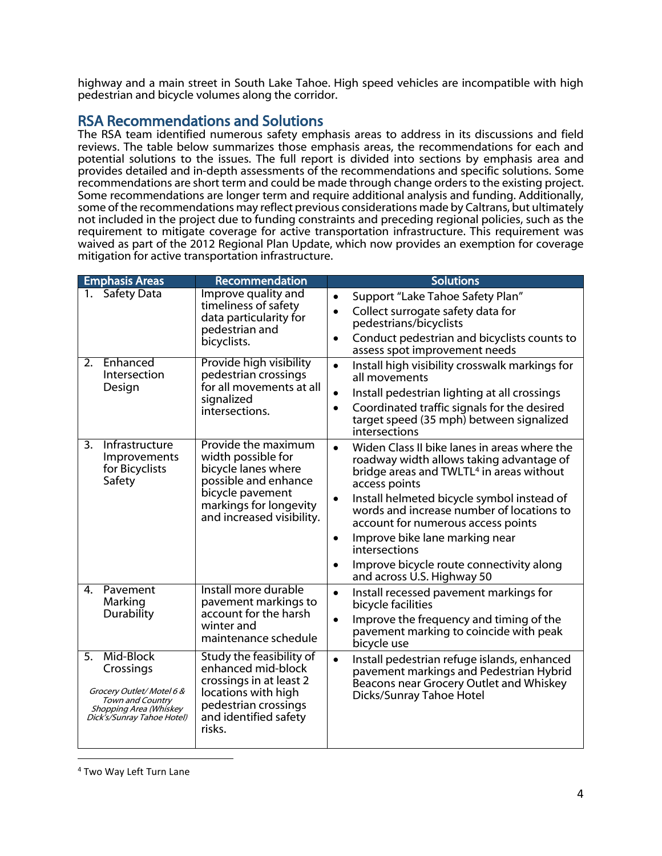highway and a main street in South Lake Tahoe. High speed vehicles are incompatible with high pedestrian and bicycle volumes along the corridor.

# RSA Recommendations and Solutions

The RSA team identified numerous safety emphasis areas to address in its discussions and field reviews. The table below summarizes those emphasis areas, the recommendations for each and potential solutions to the issues. The full report is divided into sections by emphasis area and provides detailed and in-depth assessments of the recommendations and specific solutions. Some recommendations are short term and could be made through change orders to the existing project. Some recommendations are longer term and require additional analysis and funding. Additionally, some of the recommendations may reflect previous considerations made by Caltrans, but ultimately not included in the project due to funding constraints and preceding regional policies, such as the requirement to mitigate coverage for active transportation infrastructure. This requirement was waived as part of the 2012 Regional Plan Update, which now provides an exemption for coverage mitigation for active transportation infrastructure.

| <b>Emphasis Areas</b>                                                                                                                | Recommendation                                                                                                                                                      | <b>Solutions</b>                                                                                                                                                                                                                                                                                                                                                                                                                                                                    |
|--------------------------------------------------------------------------------------------------------------------------------------|---------------------------------------------------------------------------------------------------------------------------------------------------------------------|-------------------------------------------------------------------------------------------------------------------------------------------------------------------------------------------------------------------------------------------------------------------------------------------------------------------------------------------------------------------------------------------------------------------------------------------------------------------------------------|
| <b>Safety Data</b><br>$\mathbf{1}_{\cdot}$                                                                                           | Improve quality and<br>timeliness of safety<br>data particularity for<br>pedestrian and<br>bicyclists.                                                              | Support "Lake Tahoe Safety Plan"<br>$\bullet$<br>Collect surrogate safety data for<br>$\bullet$<br>pedestrians/bicyclists<br>Conduct pedestrian and bicyclists counts to<br>$\bullet$<br>assess spot improvement needs                                                                                                                                                                                                                                                              |
| Enhanced<br>2.<br>Intersection<br>Design                                                                                             | Provide high visibility<br>pedestrian crossings<br>for all movements at all<br>signalized<br>intersections.                                                         | Install high visibility crosswalk markings for<br>$\bullet$<br>all movements<br>Install pedestrian lighting at all crossings<br>$\bullet$<br>Coordinated traffic signals for the desired<br>$\bullet$<br>target speed (35 mph) between signalized<br>intersections                                                                                                                                                                                                                  |
| 3.<br>Infrastructure<br>Improvements<br>for Bicyclists<br>Safety                                                                     | Provide the maximum<br>width possible for<br>bicycle lanes where<br>possible and enhance<br>bicycle pavement<br>markings for longevity<br>and increased visibility. | Widen Class II bike lanes in areas where the<br>$\bullet$<br>roadway width allows taking advantage of<br>bridge areas and TWLTL <sup>4</sup> in areas without<br>access points<br>Install helmeted bicycle symbol instead of<br>$\bullet$<br>words and increase number of locations to<br>account for numerous access points<br>Improve bike lane marking near<br>$\bullet$<br>intersections<br>Improve bicycle route connectivity along<br>$\bullet$<br>and across U.S. Highway 50 |
| $\mathbf{4}$<br>Pavement<br>Marking<br>Durability                                                                                    | Install more durable<br>pavement markings to<br>account for the harsh<br>winter and<br>maintenance schedule                                                         | Install recessed pavement markings for<br>$\bullet$<br>bicycle facilities<br>Improve the frequency and timing of the<br>$\bullet$<br>pavement marking to coincide with peak<br>bicycle use                                                                                                                                                                                                                                                                                          |
| Mid-Block<br>5.<br>Crossings<br>Grocery Outlet/Motel 6 &<br>Town and Country<br>Shopping Area (Whiskey<br>Dick's/Sunray Tahoe Hotel) | <b>Study the feasibility of</b><br>enhanced mid-block<br>crossings in at least 2<br>locations with high<br>pedestrian crossings<br>and identified safety<br>risks.  | Install pedestrian refuge islands, enhanced<br>$\bullet$<br>pavement markings and Pedestrian Hybrid<br>Beacons near Grocery Outlet and Whiskey<br>Dicks/Sunray Tahoe Hotel                                                                                                                                                                                                                                                                                                          |

<sup>4</sup> Two Way Left Turn Lane

 $\overline{a}$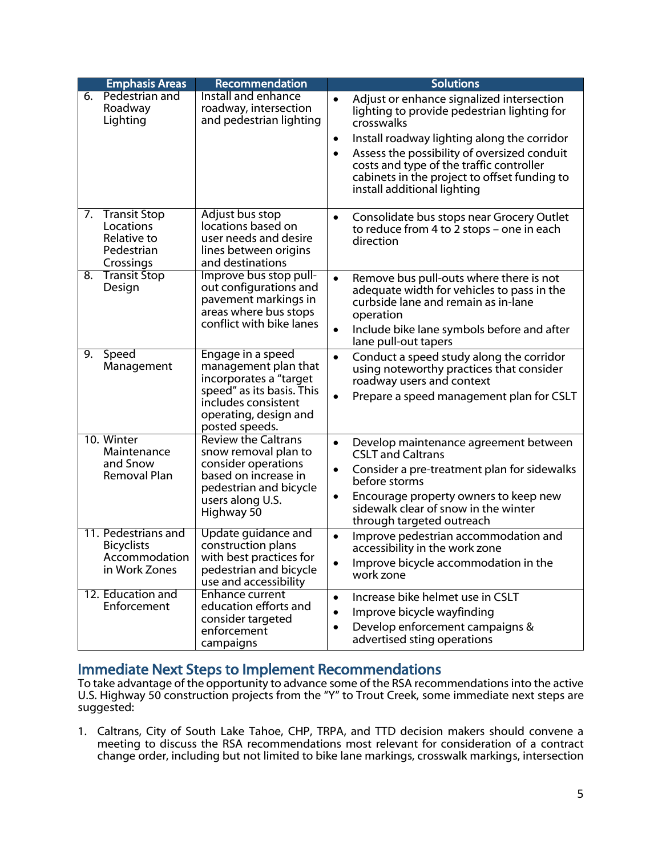|    | <b>Emphasis Areas</b>                                                      | Recommendation                                                                                                                                                     |                                     | <b>Solutions</b>                                                                                                                                                                                                                                                                                                                |  |
|----|----------------------------------------------------------------------------|--------------------------------------------------------------------------------------------------------------------------------------------------------------------|-------------------------------------|---------------------------------------------------------------------------------------------------------------------------------------------------------------------------------------------------------------------------------------------------------------------------------------------------------------------------------|--|
| 6. | Pedestrian and<br>Roadway<br>Lighting                                      | Install and enhance<br>roadway, intersection<br>and pedestrian lighting                                                                                            | $\bullet$<br>$\bullet$<br>$\bullet$ | Adjust or enhance signalized intersection<br>lighting to provide pedestrian lighting for<br>crosswalks<br>Install roadway lighting along the corridor<br>Assess the possibility of oversized conduit<br>costs and type of the traffic controller<br>cabinets in the project to offset funding to<br>install additional lighting |  |
|    |                                                                            |                                                                                                                                                                    |                                     |                                                                                                                                                                                                                                                                                                                                 |  |
| 7. | <b>Transit Stop</b><br>Locations<br>Relative to<br>Pedestrian<br>Crossings | Adjust bus stop<br>locations based on<br>user needs and desire<br>lines between origins<br>and destinations                                                        | $\bullet$                           | Consolidate bus stops near Grocery Outlet<br>to reduce from 4 to 2 stops - one in each<br>direction                                                                                                                                                                                                                             |  |
| 8. | <b>Transit Stop</b><br>Design                                              | Improve bus stop pull-<br>out configurations and<br>pavement markings in<br>areas where bus stops<br>conflict with bike lanes                                      | $\bullet$<br>$\bullet$              | Remove bus pull-outs where there is not<br>adequate width for vehicles to pass in the<br>curbside lane and remain as in-lane<br>operation<br>Include bike lane symbols before and after<br>lane pull-out tapers                                                                                                                 |  |
| 9. | Speed<br>Management                                                        | Engage in a speed<br>management plan that<br>incorporates a "target<br>speed" as its basis. This<br>includes consistent<br>operating, design and<br>posted speeds. | $\bullet$<br>$\bullet$              | Conduct a speed study along the corridor<br>using noteworthy practices that consider<br>roadway users and context<br>Prepare a speed management plan for CSLT                                                                                                                                                                   |  |
|    | 10. Winter<br>Maintenance<br>and Snow<br>Removal Plan                      | <b>Review the Caltrans</b><br>snow removal plan to<br>consider operations<br>based on increase in<br>pedestrian and bicycle<br>users along U.S.<br>Highway 50      | $\bullet$<br>$\bullet$<br>$\bullet$ | Develop maintenance agreement between<br><b>CSLT and Caltrans</b><br>Consider a pre-treatment plan for sidewalks<br>before storms<br>Encourage property owners to keep new<br>sidewalk clear of snow in the winter<br>through targeted outreach                                                                                 |  |
|    | 11. Pedestrians and<br><b>Bicyclists</b><br>Accommodation<br>in Work Zones | Update guidance and<br>construction plans<br>with best practices for<br>pedestrian and bicycle<br>use and accessibility                                            | $\bullet$<br>$\bullet$              | Improve pedestrian accommodation and<br>accessibility in the work zone<br>Improve bicycle accommodation in the<br>work zone                                                                                                                                                                                                     |  |
|    | 12. Education and<br>Enforcement                                           | <b>Enhance current</b><br>education efforts and<br>consider targeted<br>enforcement<br>campaigns                                                                   | $\bullet$<br>$\bullet$<br>$\bullet$ | Increase bike helmet use in CSLT<br>Improve bicycle wayfinding<br>Develop enforcement campaigns &<br>advertised sting operations                                                                                                                                                                                                |  |

### Immediate Next Steps to Implement Recommendations

I

To take advantage of the opportunity to advance some of the RSA recommendations into the active U.S. Highway 50 construction projects from the "Y" to Trout Creek, some immediate next steps are suggested:

1. Caltrans, City of South Lake Tahoe, CHP, TRPA, and TTD decision makers should convene a meeting to discuss the RSA recommendations most relevant for consideration of a contract change order, including but not limited to bike lane markings, crosswalk markings, intersection